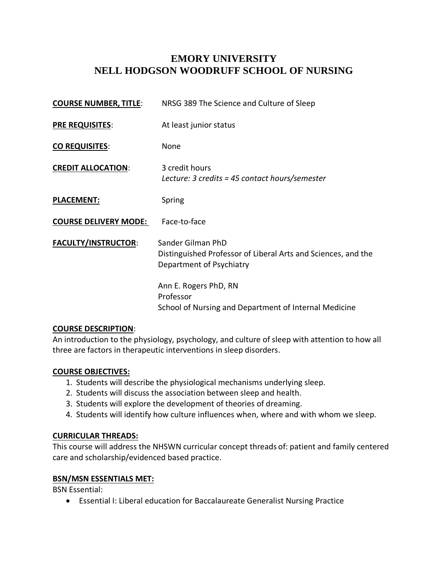# **EMORY UNIVERSITY NELL HODGSON WOODRUFF SCHOOL OF NURSING**

| <b>COURSE NUMBER, TITLE:</b> | NRSG 389 The Science and Culture of Sleep                                                                      |  |
|------------------------------|----------------------------------------------------------------------------------------------------------------|--|
| <b>PRE REQUISITES:</b>       | At least junior status                                                                                         |  |
| <b>CO REQUISITES:</b>        | None                                                                                                           |  |
| <b>CREDIT ALLOCATION:</b>    | 3 credit hours<br>Lecture: 3 credits = 45 contact hours/semester                                               |  |
| <b>PLACEMENT:</b>            | Spring                                                                                                         |  |
| <b>COURSE DELIVERY MODE:</b> | Face-to-face                                                                                                   |  |
| <b>FACULTY/INSTRUCTOR:</b>   | Sander Gilman PhD<br>Distinguished Professor of Liberal Arts and Sciences, and the<br>Department of Psychiatry |  |
|                              | Ann E. Rogers PhD, RN<br>Professor<br>School of Nursing and Department of Internal Medicine                    |  |

#### **COURSE DESCRIPTION**:

An introduction to the physiology, psychology, and culture of sleep with attention to how all three are factors in therapeutic interventions in sleep disorders.

#### **COURSE OBJECTIVES:**

- 1. Students will describe the physiological mechanisms underlying sleep.
- 2. Students will discuss the association between sleep and health.
- 3. Students will explore the development of theories of dreaming.
- 4. Students will identify how culture influences when, where and with whom we sleep.

### **CURRICULAR THREADS:**

This course will address the NHSWN curricular concept threads of: patient and family centered care and scholarship/evidenced based practice.

### **BSN/MSN ESSENTIALS MET:**

BSN Essential:

• Essential I: Liberal education for Baccalaureate Generalist Nursing Practice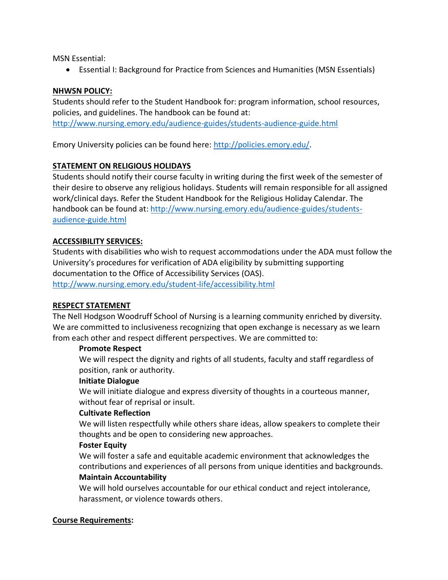MSN Essential:

• Essential I: Background for Practice from Sciences and Humanities (MSN Essentials)

### **NHWSN POLICY:**

Students should refer to the Student Handbook for: program information, school resources, policies, and guidelines. The handbook can be found at: <http://www.nursing.emory.edu/audience-guides/students-audience-guide.html>

Emory University policies can be found here: [http://policies.emory.edu/.](http://policies.emory.edu/)

## **STATEMENT ON RELIGIOUS HOLIDAYS**

Students should notify their course faculty in writing during the first week of the semester of their desire to observe any religious holidays. Students will remain responsible for all assigned work/clinical days. Refer the Student Handbook for the Religious Holiday Calendar. The handbook can be found at: [http://www.nursing.emory.edu/audience-guides/students](http://www.nursing.emory.edu/audience-guides/students-audience-guide.html)[audience-guide.html](http://www.nursing.emory.edu/audience-guides/students-audience-guide.html)

## **ACCESSIBILITY SERVICES:**

Students with disabilities who wish to request accommodations under the ADA must follow the University's procedures for verification of ADA eligibility by submitting supporting documentation to the Office of Accessibility Services (OAS). <http://www.nursing.emory.edu/student-life/accessibility.html>

### **RESPECT STATEMENT**

The Nell Hodgson Woodruff School of Nursing is a learning community enriched by diversity. We are committed to inclusiveness recognizing that open exchange is necessary as we learn from each other and respect different perspectives. We are committed to:

#### **Promote Respect**

We will respect the dignity and rights of all students, faculty and staff regardless of position, rank or authority.

#### **Initiate Dialogue**

We will initiate dialogue and express diversity of thoughts in a courteous manner, without fear of reprisal or insult.

#### **Cultivate Reflection**

We will listen respectfully while others share ideas, allow speakers to complete their thoughts and be open to considering new approaches.

### **Foster Equity**

We will foster a safe and equitable academic environment that acknowledges the contributions and experiences of all persons from unique identities and backgrounds.

### **Maintain Accountability**

We will hold ourselves accountable for our ethical conduct and reject intolerance, harassment, or violence towards others.

### **Course Requirements:**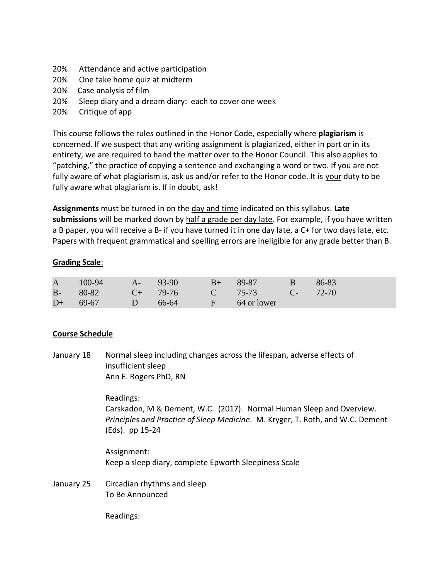- 20% Attendance and active participation
- 20% One take home quiz at midterm
- 20% Case analysis of film
- 20% Sleep diary and a dream diary: each to cover one week
- 20% Critique of app

This course follows the rules outlined in the Honor Code, especially where **plagiarism** is concerned. If we suspect that any writing assignment is plagiarized, either in part or in its entirety, we are required to hand the matter over to the Honor Council. This also applies to "patching," the practice of copying a sentence and exchanging a word or two. If you are not fully aware of what plagiarism is, ask us and/or refer to the Honor code. It is your duty to be fully aware what plagiarism is. If in doubt, ask!

**Assignments** must be turned in on the day and time indicated on this syllabus. **Late submissions** will be marked down by half a grade per day late. For example, if you have written a B paper, you will receive a B- if you have turned it in one day late, a C+ for two days late, etc. Papers with frequent grammatical and spelling errors are ineligible for any grade better than B.

### **Grading Scale**:

| A 100-94 A- 93-90 B+ 89-87         |  | $\overline{B}$ | $86-83$ |
|------------------------------------|--|----------------|---------|
| B- 80-82 C+ 79-76 C 75-73 C- 72-70 |  |                |         |
| $D+ 69-67$ D 66-64 F 64 or lower   |  |                |         |

### **Course Schedule**

January 18 Normal sleep including changes across the lifespan, adverse effects of insufficient sleep Ann E. Rogers PhD, RN

> Readings: Carskadon, M & Dement, W.C. (2017). Normal Human Sleep and Overview. *Principles and Practice of Sleep Medicine.* M. Kryger, T. Roth, and W.C. Dement (Eds). pp 15-24

Assignment: Keep a sleep diary, complete Epworth Sleepiness Scale

January 25 Circadian rhythms and sleep To Be Announced

Readings: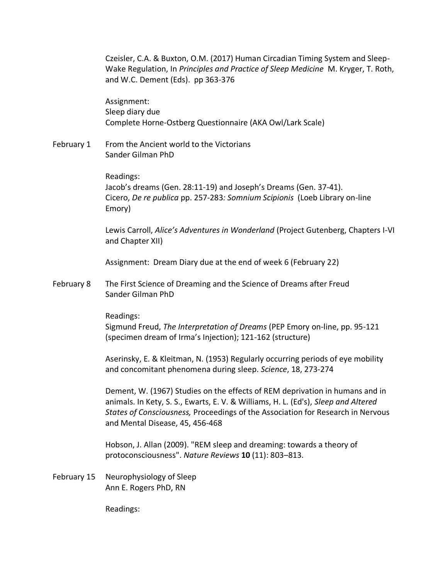Czeisler, C.A. & Buxton, O.M. (2017) Human Circadian Timing System and Sleep-Wake Regulation, In *Principles and Practice of Sleep Medicine* M. Kryger, T. Roth, and W.C. Dement (Eds). pp 363-376

Assignment: Sleep diary due Complete Horne-Ostberg Questionnaire (AKA Owl/Lark Scale)

February 1 From the Ancient world to the Victorians Sander Gilman PhD

> Readings: Jacob's dreams (Gen. 28:11-19) and Joseph's Dreams (Gen. 37-41). Cicero, *De re publica* pp. 257-283*: Somnium Scipionis* (Loeb Library on-line Emory)

Lewis Carroll, *Alice's Adventures in Wonderland* (Project Gutenberg, Chapters I-VI and Chapter XII)

Assignment: Dream Diary due at the end of week 6 (February 22)

February 8 The First Science of Dreaming and the Science of Dreams after Freud Sander Gilman PhD

Readings:

Sigmund Freud, *The Interpretation of Dreams* (PEP Emory on-line, pp. 95-121 (specimen dream of Irma's Injection); 121-162 (structure)

Aserinsky, E. & Kleitman, N. (1953) Regularly occurring periods of eye mobility and concomitant phenomena during sleep. *Science*, 18, 273-274

Dement, W. (1967) Studies on the effects of REM deprivation in humans and in animals. In Kety, S. S., Ewarts, E. V. & Williams, H. L. (Ed's), *Sleep and Altered States of Consciousness,* Proceedings of the Association for Research in Nervous and Mental Disease, 45, 456-468

Hobson, J. Allan (2009). "REM sleep and dreaming: towards a theory of protoconsciousness". *Nature Reviews* **10** (11): 803–813.

February 15 Neurophysiology of Sleep Ann E. Rogers PhD, RN

Readings: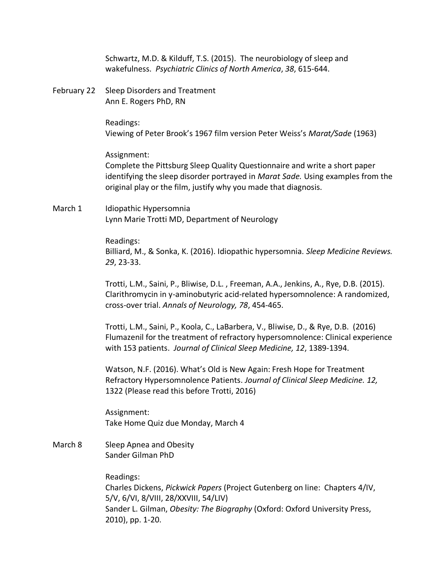Schwartz, M.D. & Kilduff, T.S. (2015). The neurobiology of sleep and wakefulness. *Psychiatric Clinics of North America*, *38*, 615-644.

February 22 Sleep Disorders and Treatment Ann E. Rogers PhD, RN

> Readings: Viewing of Peter Brook's 1967 film version Peter Weiss's *Marat/Sade* (1963)

Assignment: Complete the Pittsburg Sleep Quality Questionnaire and write a short paper identifying the sleep disorder portrayed in *Marat Sade.* Using examples from the original play or the film, justify why you made that diagnosis.

March 1 Idiopathic Hypersomnia Lynn Marie Trotti MD, Department of Neurology

> Readings: Billiard, M., & Sonka, K. (2016). Idiopathic hypersomnia. *Sleep Medicine Reviews. 29*, 23-33.

> Trotti, L.M., Saini, P., Bliwise, D.L. , Freeman, A.A., Jenkins, A., Rye, D.B. (2015). Clarithromycin in y-aminobutyric acid-related hypersomnolence: A randomized, cross-over trial. *Annals of Neurology, 78*, 454-465.

> Trotti, L.M., Saini, P., Koola, C., LaBarbera, V., Bliwise, D., & Rye, D.B. (2016) Flumazenil for the treatment of refractory hypersomnolence: Clinical experience with 153 patients. *Journal of Clinical Sleep Medicine, 12*, 1389-1394.

Watson, N.F. (2016). What's Old is New Again: Fresh Hope for Treatment Refractory Hypersomnolence Patients. *Journal of Clinical Sleep Medicine. 12,*  1322 (Please read this before Trotti, 2016)

Assignment: Take Home Quiz due Monday, March 4

March 8 Sleep Apnea and Obesity Sander Gilman PhD

Readings:

Charles Dickens, *Pickwick Papers* (Project Gutenberg on line: Chapters 4/IV, 5/V, 6/VI, 8/VIII, 28/XXVIII, 54/LIV) Sander L. Gilman, *Obesity: The Biography* (Oxford: Oxford University Press, 2010), pp. 1-20.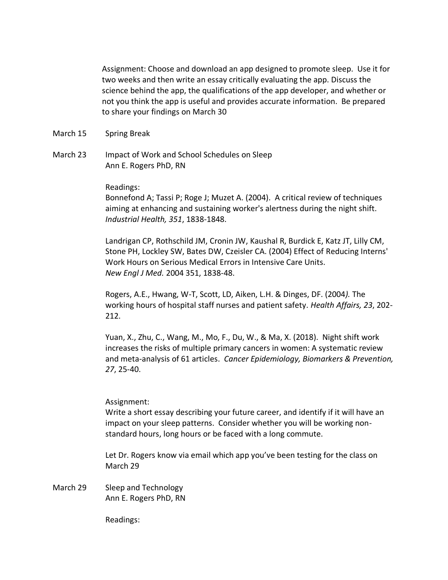Assignment: Choose and download an app designed to promote sleep. Use it for two weeks and then write an essay critically evaluating the app. Discuss the science behind the app, the qualifications of the app developer, and whether or not you think the app is useful and provides accurate information. Be prepared to share your findings on March 30

- March 15 Spring Break
- March 23 Impact of Work and School Schedules on Sleep Ann E. Rogers PhD, RN

#### Readings:

Bonnefond A; Tassi P; Roge J; Muzet A. (2004). A critical review of techniques aiming at enhancing and sustaining worker's alertness during the night shift. *Industrial Health, 351*, 1838-1848.

Landrigan CP, Rothschild JM, Cronin JW, Kaushal R, Burdick E, Katz JT, Lilly CM, Stone PH, Lockley SW, Bates DW, Czeisler CA. (2004) Effect of Reducing Interns' Work Hours on Serious Medical Errors in Intensive Care Units. *New Engl J Med.* 2004 351, 1838-48.

Rogers, A.E., Hwang, W-T, Scott, LD, Aiken, L.H. & Dinges, DF. (2004*).* The working hours of hospital staff nurses and patient safety. *Health Affairs, 23*, 202- 212.

Yuan, X., Zhu, C., Wang, M., Mo, F., Du, W., & Ma, X. (2018). Night shift work increases the risks of multiple primary cancers in women: A systematic review and meta-analysis of 61 articles. *Cancer Epidemiology, Biomarkers & Prevention, 27*, 25-40.

#### Assignment:

Write a short essay describing your future career, and identify if it will have an impact on your sleep patterns. Consider whether you will be working nonstandard hours, long hours or be faced with a long commute.

Let Dr. Rogers know via email which app you've been testing for the class on March 29

March 29 Sleep and Technology Ann E. Rogers PhD, RN

Readings: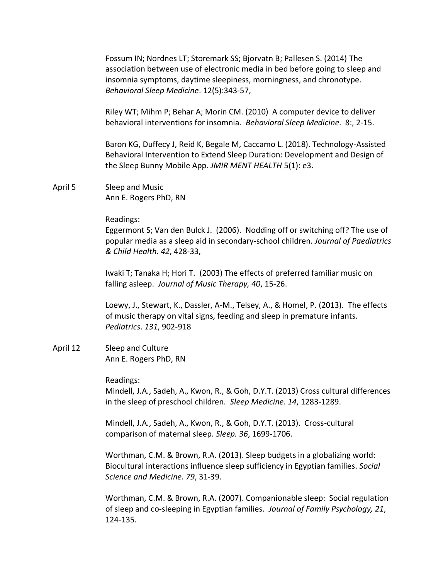Fossum IN; Nordnes LT; Storemark SS; Bjorvatn B; Pallesen S. (2014) The association between use of electronic media in bed before going to sleep and insomnia symptoms, daytime sleepiness, morningness, and chronotype. *Behavioral Sleep Medicine*. 12(5):343-57,

Riley WT; Mihm P; Behar A; Morin CM. (2010) A computer device to deliver behavioral interventions for insomnia. *Behavioral Sleep Medicine*. 8:, 2-15.

Baron KG, Duffecy J, Reid K, Begale M, Caccamo L. (2018). Technology-Assisted Behavioral Intervention to Extend Sleep Duration: Development and Design of the Sleep Bunny Mobile App. *JMIR MENT HEALTH* 5(1): e3.

April 5 Sleep and Music Ann E. Rogers PhD, RN

#### Readings:

Eggermont S; Van den Bulck J. (2006). Nodding off or switching off? The use of popular media as a sleep aid in secondary-school children. *Journal of Paediatrics & Child Health. 42*, 428-33,

Iwaki T; Tanaka H; Hori T. (2003) The effects of preferred familiar music on falling asleep. *Journal of Music Therapy, 40*, 15-26.

Loewy, J., Stewart, K., Dassler, A-M., Telsey, A., & Homel, P. (2013). The effects of music therapy on vital signs, feeding and sleep in premature infants. *Pediatrics*. *131*, 902-918

April 12 Sleep and Culture Ann E. Rogers PhD, RN

Readings:

Mindell, J.A., Sadeh, A., Kwon, R., & Goh, D.Y.T. (2013) Cross cultural differences in the sleep of preschool children. *Sleep Medicine. 14*, 1283-1289.

Mindell, J.A., Sadeh, A., Kwon, R., & Goh, D.Y.T. (2013). Cross-cultural comparison of maternal sleep. *Sleep. 36*, 1699-1706.

Worthman, C.M. & Brown, R.A. (2013). Sleep budgets in a globalizing world: Biocultural interactions influence sleep sufficiency in Egyptian families. *Social Science and Medicine. 79*, 31-39.

Worthman, C.M. & Brown, R.A. (2007). Companionable sleep: Social regulation of sleep and co-sleeping in Egyptian families. *Journal of Family Psychology, 21*, 124-135.